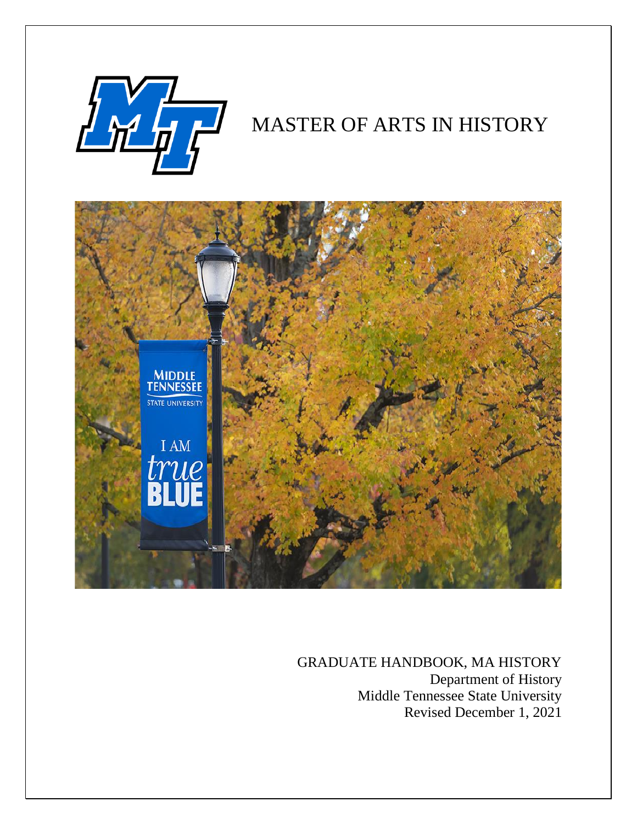

# MASTER OF ARTS IN HISTORY



GRADUATE HANDBOOK, MA HISTORY Department of History Middle Tennessee State University Revised December 1, 2021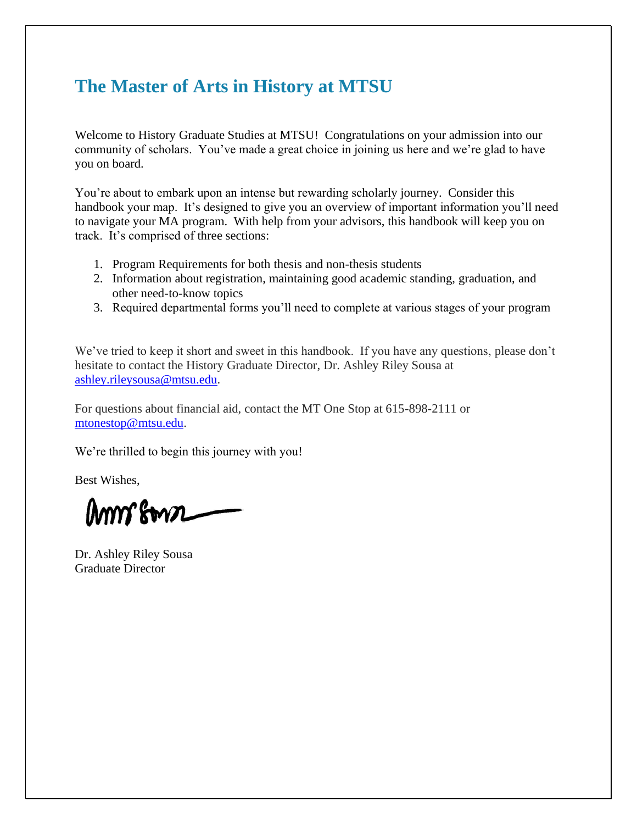# **The Master of Arts in History at MTSU**

Welcome to History Graduate Studies at MTSU! Congratulations on your admission into our community of scholars. You've made a great choice in joining us here and we're glad to have you on board.

You're about to embark upon an intense but rewarding scholarly journey. Consider this handbook your map. It's designed to give you an overview of important information you'll need to navigate your MA program. With help from your advisors, this handbook will keep you on track. It's comprised of three sections:

- 1. Program Requirements for both thesis and non-thesis students
- 2. Information about registration, maintaining good academic standing, graduation, and other need-to-know topics
- 3. Required departmental forms you'll need to complete at various stages of your program

We've tried to keep it short and sweet in this handbook. If you have any questions, please don't hesitate to contact the History Graduate Director, Dr. Ashley Riley Sousa at [ashley.rileysousa@mtsu.edu.](mailto:ashley.rileysousa@mtsu.edu)

For questions about financial aid, contact the MT One Stop at 615-898-2111 or [mtonestop@mtsu.edu.](mailto:mtonestop@mtsu.edu)

We're thrilled to begin this journey with you!

Best Wishes,

amm sown

Dr. Ashley Riley Sousa Graduate Director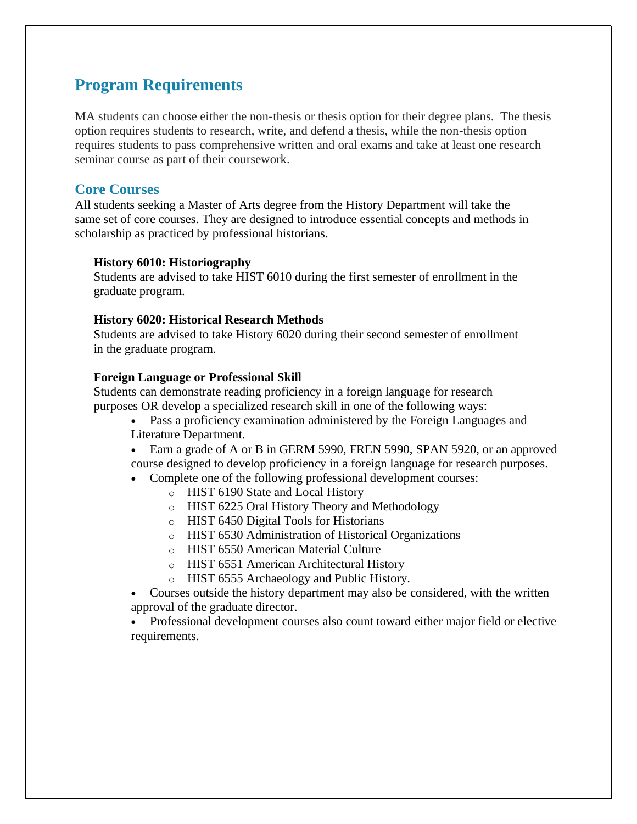# **Program Requirements**

MA students can choose either the non-thesis or thesis option for their degree plans. The thesis option requires students to research, write, and defend a thesis, while the non-thesis option requires students to pass comprehensive written and oral exams and take at least one research seminar course as part of their coursework.

## **Core Courses**

All students seeking a Master of Arts degree from the History Department will take the same set of core courses. They are designed to introduce essential concepts and methods in scholarship as practiced by professional historians.

#### **History 6010: Historiography**

Students are advised to take HIST 6010 during the first semester of enrollment in the graduate program.

## **History 6020: Historical Research Methods**

Students are advised to take History 6020 during their second semester of enrollment in the graduate program.

## **Foreign Language or Professional Skill**

Students can demonstrate reading proficiency in a foreign language for research purposes OR develop a specialized research skill in one of the following ways:

• Pass a proficiency examination administered by the Foreign Languages and Literature Department.

• Earn a grade of A or B in GERM 5990, FREN 5990, SPAN 5920, or an approved course designed to develop proficiency in a foreign language for research purposes.

- Complete one of the following professional development courses:
	- o HIST 6190 State and Local History
	- o HIST 6225 Oral History Theory and Methodology
	- o HIST 6450 Digital Tools for Historians
	- o HIST 6530 Administration of Historical Organizations
	- o HIST 6550 American Material Culture
	- o HIST 6551 American Architectural History
	- o HIST 6555 Archaeology and Public History.

• Courses outside the history department may also be considered, with the written approval of the graduate director.

• Professional development courses also count toward either major field or elective requirements.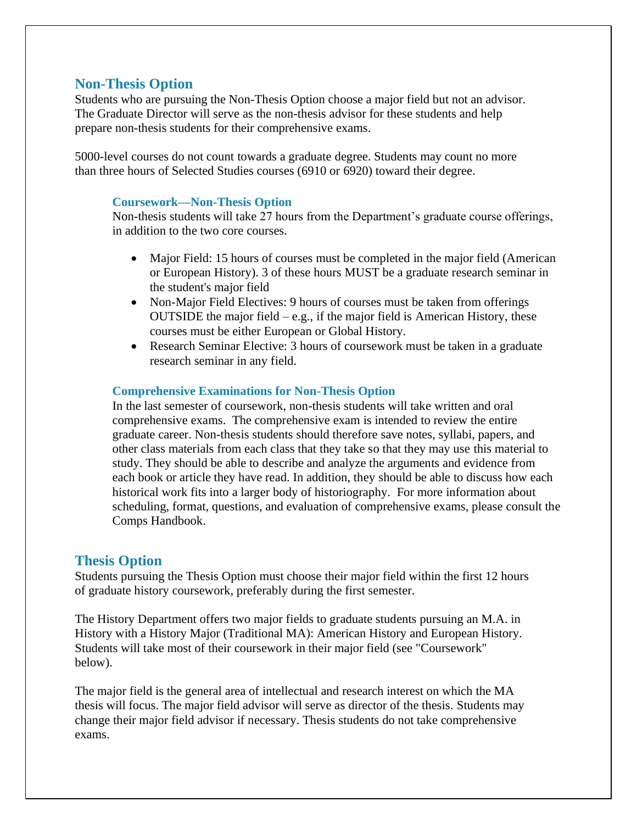## **Non-Thesis Option**

Students who are pursuing the Non-Thesis Option choose a major field but not an advisor. The Graduate Director will serve as the non-thesis advisor for these students and help prepare non-thesis students for their comprehensive exams.

5000-level courses do not count towards a graduate degree. Students may count no more than three hours of Selected Studies courses (6910 or 6920) toward their degree.

### **Coursework—Non-Thesis Option**

Non-thesis students will take 27 hours from the Department's graduate course offerings, in addition to the two core courses.

- Major Field: 15 hours of courses must be completed in the major field (American or European History). 3 of these hours MUST be a graduate research seminar in the student's major field
- Non-Major Field Electives: 9 hours of courses must be taken from offerings OUTSIDE the major field  $-e.g.,$  if the major field is American History, these courses must be either European or Global History.
- Research Seminar Elective: 3 hours of coursework must be taken in a graduate research seminar in any field.

## **Comprehensive Examinations for Non-Thesis Option**

In the last semester of coursework, non-thesis students will take written and oral comprehensive exams. The comprehensive exam is intended to review the entire graduate career. Non-thesis students should therefore save notes, syllabi, papers, and other class materials from each class that they take so that they may use this material to study. They should be able to describe and analyze the arguments and evidence from each book or article they have read. In addition, they should be able to discuss how each historical work fits into a larger body of historiography. For more information about scheduling, format, questions, and evaluation of comprehensive exams, please consult the Comps Handbook.

## **Thesis Option**

Students pursuing the Thesis Option must choose their major field within the first 12 hours of graduate history coursework, preferably during the first semester.

The History Department offers two major fields to graduate students pursuing an M.A. in History with a History Major (Traditional MA): American History and European History. Students will take most of their coursework in their major field (see "Coursework" below).

The major field is the general area of intellectual and research interest on which the MA thesis will focus. The major field advisor will serve as director of the thesis. Students may change their major field advisor if necessary. Thesis students do not take comprehensive exams.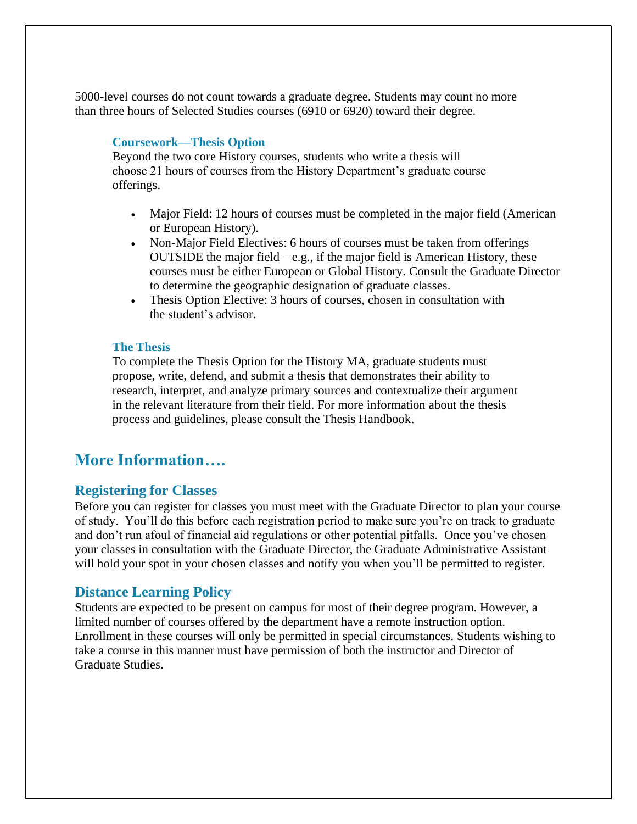5000-level courses do not count towards a graduate degree. Students may count no more than three hours of Selected Studies courses (6910 or 6920) toward their degree.

## **Coursework—Thesis Option**

Beyond the two core History courses, students who write a thesis will choose 21 hours of courses from the History Department's graduate course offerings.

- Major Field: 12 hours of courses must be completed in the major field (American or European History).
- Non-Major Field Electives: 6 hours of courses must be taken from offerings OUTSIDE the major field  $-e.g.,$  if the major field is American History, these courses must be either European or Global History. Consult the Graduate Director to determine the geographic designation of graduate classes.
- Thesis Option Elective: 3 hours of courses, chosen in consultation with the student's advisor.

## **The Thesis**

To complete the Thesis Option for the History MA, graduate students must propose, write, defend, and submit a thesis that demonstrates their ability to research, interpret, and analyze primary sources and contextualize their argument in the relevant literature from their field. For more information about the thesis process and guidelines, please consult the Thesis Handbook.

## **More Information….**

## **Registering for Classes**

Before you can register for classes you must meet with the Graduate Director to plan your course of study. You'll do this before each registration period to make sure you're on track to graduate and don't run afoul of financial aid regulations or other potential pitfalls. Once you've chosen your classes in consultation with the Graduate Director, the Graduate Administrative Assistant will hold your spot in your chosen classes and notify you when you'll be permitted to register.

## **Distance Learning Policy**

Students are expected to be present on campus for most of their degree program. However, a limited number of courses offered by the department have a remote instruction option. Enrollment in these courses will only be permitted in special circumstances. Students wishing to take a course in this manner must have permission of both the instructor and Director of Graduate Studies.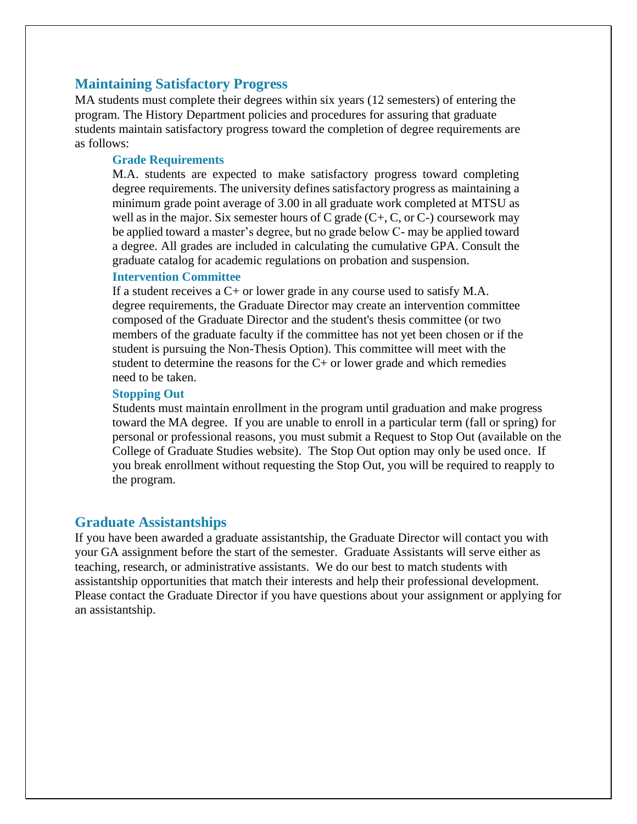## **Maintaining Satisfactory Progress**

MA students must complete their degrees within six years (12 semesters) of entering the program. The History Department policies and procedures for assuring that graduate students maintain satisfactory progress toward the completion of degree requirements are as follows:

### **Grade Requirements**

M.A. students are expected to make satisfactory progress toward completing degree requirements. The university defines satisfactory progress as maintaining a minimum grade point average of 3.00 in all graduate work completed at MTSU as well as in the major. Six semester hours of C grade  $(C+, C, or C-)$  coursework may be applied toward a master's degree, but no grade below C- may be applied toward a degree. All grades are included in calculating the cumulative GPA. Consult the graduate catalog for academic regulations on probation and suspension.

#### **Intervention Committee**

If a student receives a  $C<sub>+</sub>$  or lower grade in any course used to satisfy M.A. degree requirements, the Graduate Director may create an intervention committee composed of the Graduate Director and the student's thesis committee (or two members of the graduate faculty if the committee has not yet been chosen or if the student is pursuing the Non-Thesis Option). This committee will meet with the student to determine the reasons for the  $C<sub>+</sub>$  or lower grade and which remedies need to be taken.

#### **Stopping Out**

Students must maintain enrollment in the program until graduation and make progress toward the MA degree. If you are unable to enroll in a particular term (fall or spring) for personal or professional reasons, you must submit a Request to Stop Out (available on the College of Graduate Studies website). The Stop Out option may only be used once. If you break enrollment without requesting the Stop Out, you will be required to reapply to the program.

## **Graduate Assistantships**

If you have been awarded a graduate assistantship, the Graduate Director will contact you with your GA assignment before the start of the semester. Graduate Assistants will serve either as teaching, research, or administrative assistants. We do our best to match students with assistantship opportunities that match their interests and help their professional development. Please contact the Graduate Director if you have questions about your assignment or applying for an assistantship.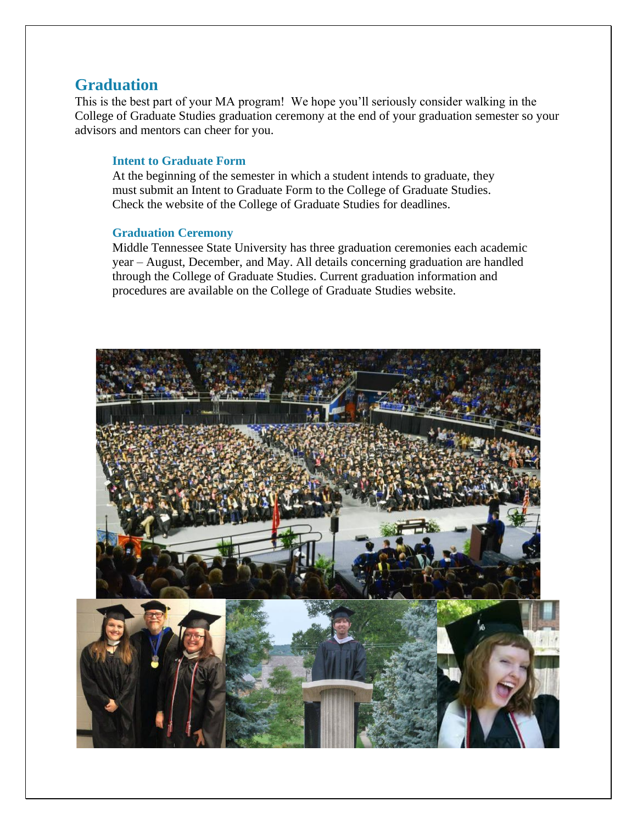## **Graduation**

This is the best part of your MA program! We hope you'll seriously consider walking in the College of Graduate Studies graduation ceremony at the end of your graduation semester so your advisors and mentors can cheer for you.

## **Intent to Graduate Form**

At the beginning of the semester in which a student intends to graduate, they must submit an Intent to Graduate Form to the College of Graduate Studies. Check the website of the College of Graduate Studies for deadlines.

#### **Graduation Ceremony**

Middle Tennessee State University has three graduation ceremonies each academic year – August, December, and May. All details concerning graduation are handled through the College of Graduate Studies. Current graduation information and procedures are available on the College of Graduate Studies website.

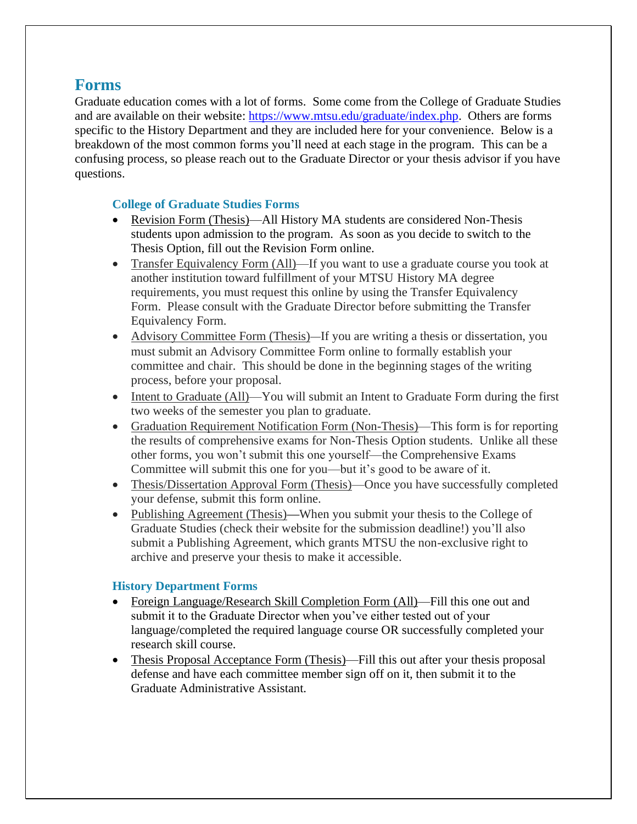# **Forms**

Graduate education comes with a lot of forms. Some come from the College of Graduate Studies and are available on their website: [https://www.mtsu.edu/graduate/index.php.](https://www.mtsu.edu/graduate/index.php) Others are forms specific to the History Department and they are included here for your convenience. Below is a breakdown of the most common forms you'll need at each stage in the program. This can be a confusing process, so please reach out to the Graduate Director or your thesis advisor if you have questions.

## **College of Graduate Studies Forms**

- Revision Form (Thesis)—All History MA students are considered Non-Thesis students upon admission to the program. As soon as you decide to switch to the Thesis Option, fill out the Revision Form online.
- Transfer Equivalency Form (All)—If you want to use a graduate course you took at another institution toward fulfillment of your MTSU History MA degree requirements, you must request this online by using the Transfer Equivalency Form. Please consult with the Graduate Director before submitting the Transfer Equivalency Form.
- Advisory Committee Form (Thesis)—If you are writing a thesis or dissertation, you must submit an Advisory Committee Form online to formally establish your committee and chair. This should be done in the beginning stages of the writing process, before your proposal.
- Intent to Graduate (All)—You will submit an Intent to Graduate Form during the first two weeks of the semester you plan to graduate.
- Graduation Requirement Notification Form (Non-Thesis)—This form is for reporting the results of comprehensive exams for Non-Thesis Option students. Unlike all these other forms, you won't submit this one yourself—the Comprehensive Exams Committee will submit this one for you—but it's good to be aware of it.
- Thesis/Dissertation Approval Form (Thesis)—Once you have successfully completed your defense, submit this form online.
- Publishing Agreement (Thesis)—When you submit your thesis to the College of Graduate Studies (check their website for the submission deadline!) you'll also submit a Publishing Agreement, which grants MTSU the non-exclusive right to archive and preserve your thesis to make it accessible.

## **History Department Forms**

- Foreign Language/Research Skill Completion Form (All)—Fill this one out and submit it to the Graduate Director when you've either tested out of your language/completed the required language course OR successfully completed your research skill course.
- Thesis Proposal Acceptance Form (Thesis)—Fill this out after your thesis proposal defense and have each committee member sign off on it, then submit it to the Graduate Administrative Assistant.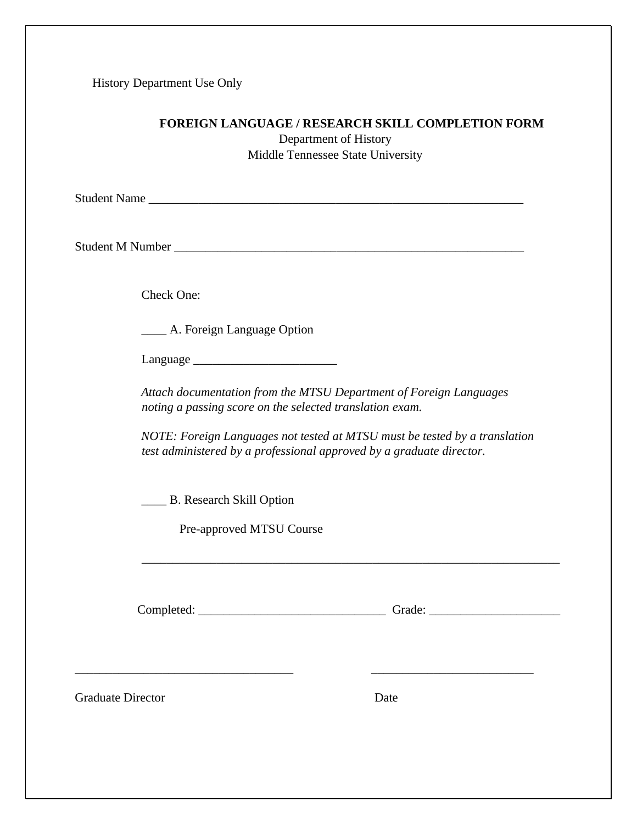History Department Use Only

## **FOREIGN LANGUAGE / RESEARCH SKILL COMPLETION FORM**

Department of History Middle Tennessee State University

Student Name \_\_\_\_\_\_\_\_\_\_\_\_\_\_\_\_\_\_\_\_\_\_\_\_\_\_\_\_\_\_\_\_\_\_\_\_\_\_\_\_\_\_\_\_\_\_\_\_\_\_\_\_\_\_\_\_\_\_\_\_

Student M Number

Check One:

\_\_\_\_ A. Foreign Language Option

 $L$ anguage  $\qquad$ 

*Attach documentation from the MTSU Department of Foreign Languages noting a passing score on the selected translation exam.* 

*NOTE: Foreign Languages not tested at MTSU must be tested by a translation test administered by a professional approved by a graduate director.* 

\_\_\_\_ B. Research Skill Option

Pre-approved MTSU Course

Completed: \_\_\_\_\_\_\_\_\_\_\_\_\_\_\_\_\_\_\_\_\_\_\_\_\_\_\_\_\_\_ Grade: \_\_\_\_\_\_\_\_\_\_\_\_\_\_\_\_\_\_\_\_\_

 $\overline{\phantom{a}}$  , and the contribution of the contribution of  $\overline{\phantom{a}}$  , and  $\overline{\phantom{a}}$  , and  $\overline{\phantom{a}}$  , and  $\overline{\phantom{a}}$ 

Graduate Director Date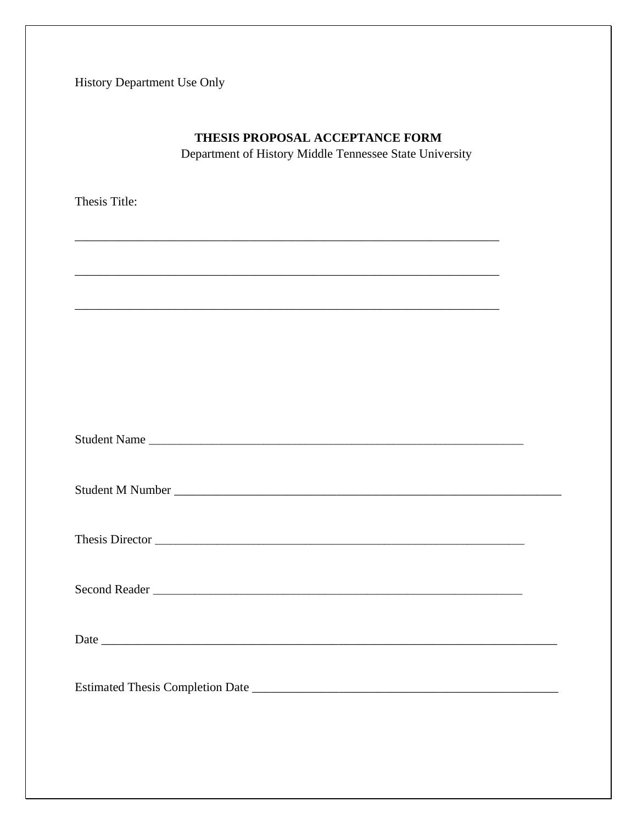History Department Use Only

| Department of History Middle Tennessee State University |  |
|---------------------------------------------------------|--|
| Thesis Title:                                           |  |
|                                                         |  |
|                                                         |  |
|                                                         |  |
| Student Name                                            |  |
|                                                         |  |
|                                                         |  |
|                                                         |  |
|                                                         |  |
|                                                         |  |

THESIS PROPOSAL ACCEPTANCE FORM